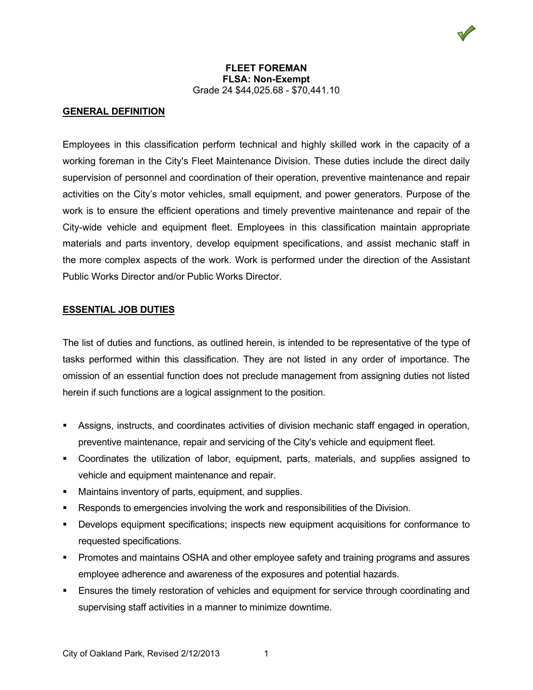# **GENERAL DEFINITION**

Employees in this classification perform technical and highly skilled work in the capacity of a working foreman in the City's Fleet Maintenance Division. These duties include the direct daily supervision of personnel and coordination of their operation, preventive maintenance and repair activities on the City's motor vehicles, small equipment, and power generators. Purpose of the work is to ensure the efficient operations and timely preventive maintenance and repair of the City-wide vehicle and equipment fleet. Employees in this classification maintain appropriate materials and parts inventory, develop equipment specifications, and assist mechanic staff in the more complex aspects of the work. Work is performed under the direction of the Assistant Public Works Director and/or Public Works Director.

## **ESSENTIAL JOB DUTIES**

The list of duties and functions, as outlined herein, is intended to be representative of the type of tasks performed within this classification. They are not listed in any order of importance. The omission of an essential function does not preclude management from assigning duties not listed herein if such functions are a logical assignment to the position.

- Assigns, instructs, and coordinates activities of division mechanic staff engaged in operation, preventive maintenance, repair and servicing of the City's vehicle and equipment fleet.
- Coordinates the utilization of labor, equipment, parts, materials, and supplies assigned to vehicle and equipment maintenance and repair.
- Maintains inventory of parts, equipment, and supplies.
- Responds to emergencies involving the work and responsibilities of the Division.
- Develops equipment specifications; inspects new equipment acquisitions for conformance to requested specifications.
- Promotes and maintains OSHA and other employee safety and training programs and assures employee adherence and awareness of the exposures and potential hazards.
- Ensures the timely restoration of vehicles and equipment for service through coordinating and supervising staff activities in a manner to minimize downtime.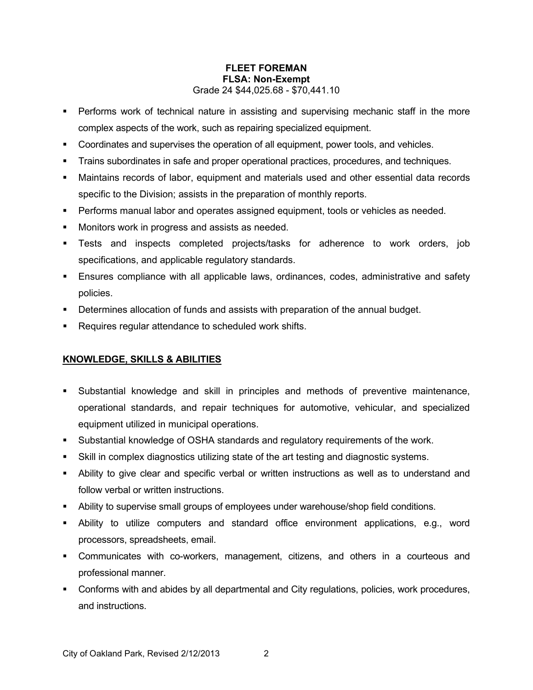- Performs work of technical nature in assisting and supervising mechanic staff in the more complex aspects of the work, such as repairing specialized equipment.
- Coordinates and supervises the operation of all equipment, power tools, and vehicles.
- Trains subordinates in safe and proper operational practices, procedures, and techniques.
- Maintains records of labor, equipment and materials used and other essential data records specific to the Division; assists in the preparation of monthly reports.
- **Performs manual labor and operates assigned equipment, tools or vehicles as needed.**
- **Monitors work in progress and assists as needed.**
- Tests and inspects completed projects/tasks for adherence to work orders, job specifications, and applicable regulatory standards.
- Ensures compliance with all applicable laws, ordinances, codes, administrative and safety policies.
- Determines allocation of funds and assists with preparation of the annual budget.
- Requires regular attendance to scheduled work shifts.

# **KNOWLEDGE, SKILLS & ABILITIES**

- Substantial knowledge and skill in principles and methods of preventive maintenance, operational standards, and repair techniques for automotive, vehicular, and specialized equipment utilized in municipal operations.
- Substantial knowledge of OSHA standards and regulatory requirements of the work.
- Skill in complex diagnostics utilizing state of the art testing and diagnostic systems.
- Ability to give clear and specific verbal or written instructions as well as to understand and follow verbal or written instructions.
- Ability to supervise small groups of employees under warehouse/shop field conditions.
- Ability to utilize computers and standard office environment applications, e.g., word processors, spreadsheets, email.
- Communicates with co-workers, management, citizens, and others in a courteous and professional manner.
- **Conforms with and abides by all departmental and City regulations, policies, work procedures,** and instructions.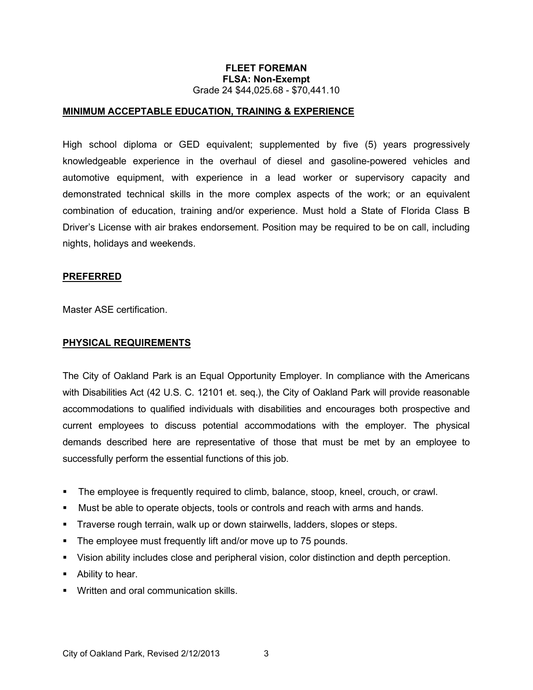## **MINIMUM ACCEPTABLE EDUCATION, TRAINING & EXPERIENCE**

High school diploma or GED equivalent; supplemented by five (5) years progressively knowledgeable experience in the overhaul of diesel and gasoline-powered vehicles and automotive equipment, with experience in a lead worker or supervisory capacity and demonstrated technical skills in the more complex aspects of the work; or an equivalent combination of education, training and/or experience. Must hold a State of Florida Class B Driver's License with air brakes endorsement. Position may be required to be on call, including nights, holidays and weekends.

#### **PREFERRED**

Master ASE certification.

#### **PHYSICAL REQUIREMENTS**

The City of Oakland Park is an Equal Opportunity Employer. In compliance with the Americans with Disabilities Act (42 U.S. C. 12101 et. seq.), the City of Oakland Park will provide reasonable accommodations to qualified individuals with disabilities and encourages both prospective and current employees to discuss potential accommodations with the employer. The physical demands described here are representative of those that must be met by an employee to successfully perform the essential functions of this job.

- The employee is frequently required to climb, balance, stoop, kneel, crouch, or crawl.
- Must be able to operate objects, tools or controls and reach with arms and hands.
- Traverse rough terrain, walk up or down stairwells, ladders, slopes or steps.
- The employee must frequently lift and/or move up to 75 pounds.
- Vision ability includes close and peripheral vision, color distinction and depth perception.
- Ability to hear.
- **Written and oral communication skills.**